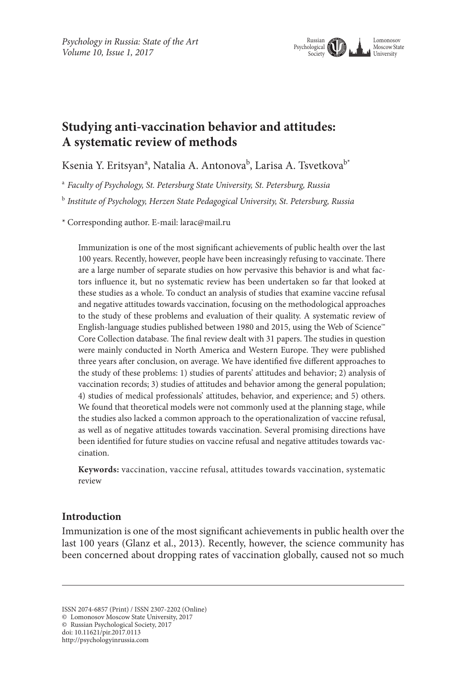

# **Studying anti-vaccination behavior and attitudes: A systematic review of methods**

Ksenia Y. Eritsyanª, Natalia A. Antonova<sup>b</sup>, Larisa A. Tsvetkova<sup>b</sup>\*

<sup>a</sup> *Faculty of Psychology, St. Petersburg State University, St. Petersburg, Russia*

<sup>b</sup> *Institute of Psychology, Herzen State Pedagogical University, St. Petersburg, Russia*

\* Corresponding author. E-mail: larac@mail.ru

Immunization is one of the most significant achievements of public health over the last 100 years. Recently, however, people have been increasingly refusing to vaccinate. There are a large number of separate studies on how pervasive this behavior is and what factors influence it, but no systematic review has been undertaken so far that looked at these studies as a whole. To conduct an analysis of studies that examine vaccine refusal and negative attitudes towards vaccination, focusing on the methodological approaches to the study of these problems and evaluation of their quality. A systematic review of English-language studies published between 1980 and 2015, using the Web of Science<sup>™</sup> Core Collection database. The final review dealt with 31 papers. The studies in question were mainly conducted in North America and Western Europe. They were published three years after conclusion, on average. We have identified five different approaches to the study of these problems: 1) studies of parents' attitudes and behavior; 2) analysis of vaccination records; 3) studies of attitudes and behavior among the general population; 4) studies of medical professionals' attitudes, behavior, and experience; and 5) others. We found that theoretical models were not commonly used at the planning stage, while the studies also lacked a common approach to the operationalization of vaccine refusal, as well as of negative attitudes towards vaccination. Several promising directions have been identified for future studies on vaccine refusal and negative attitudes towards vaccination.

**Keywords:** vaccination, vaccine refusal, attitudes towards vaccination, systematic review

#### **Introduction**

Immunization is one of the most significant achievements in public health over the last 100 years (Glanz et al., 2013). Recently, however, the science community has been concerned about dropping rates of vaccination globally, caused not so much

ISSN 2074-6857 (Print) / ISSN 2307-2202 (Online)

<sup>©</sup> Lomonosov Moscow State University, 2017

<sup>©</sup> Russian Psychological Society, 2017

doi: 10.11621/pir.2017.0113

http://psychologyinrussia.com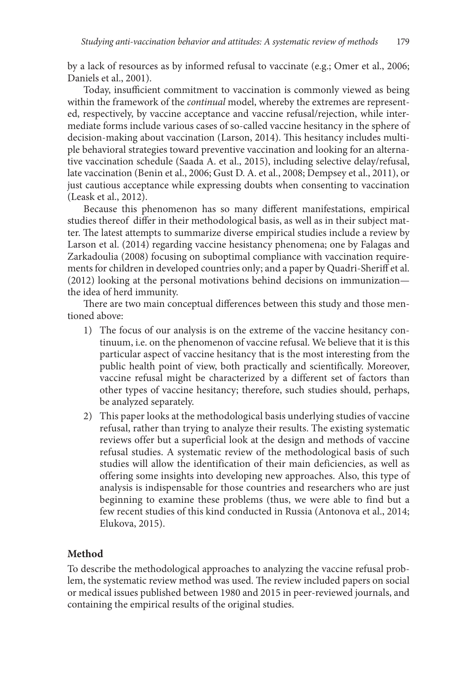by a lack of resources as by informed refusal to vaccinate (e.g.; Omer et al., 2006; Daniels et al., 2001).

Today, insufficient commitment to vaccination is commonly viewed as being within the framework of the *continual* model, whereby the extremes are represented, respectively, by vaccine acceptance and vaccine refusal/rejection, while intermediate forms include various cases of so-called vaccine hesitancy in the sphere of decision-making about vaccination (Larson, 2014). This hesitancy includes multiple behavioral strategies toward preventive vaccination and looking for an alternative vaccination schedule (Saada А. et al., 2015), including selective delay/refusal, late vaccination (Benin et al., 2006; Gust D. A. et al., 2008; Dempsey et al., 2011), or just cautious acceptance while expressing doubts when consenting to vaccination (Leask et al., 2012).

Because this phenomenon has so many different manifestations, empirical studies thereof differ in their methodological basis, as well as in their subject matter. The latest attempts to summarize diverse empirical studies include a review by Larson et al. (2014) regarding vaccine hesistancy phenomena; one by Falagas and Zarkadoulia (2008) focusing on suboptimal compliance with vaccination requirements for children in developed countries only; and a paper by Quadri-Sheriff et al. (2012) looking at the personal motivations behind decisions on immunization the idea of herd immunity.

There are two main conceptual differences between this study and those mentioned above:

- 1) The focus of our analysis is on the extreme of the vaccine hesitancy continuum, i.e. on the phenomenon of vaccine refusal. We believe that it is this particular aspect of vaccine hesitancy that is the most interesting from the public health point of view, both practically and scientifically. Moreover, vaccine refusal might be characterized by a different set of factors than other types of vaccine hesitancy; therefore, such studies should, perhaps, be analyzed separately.
- 2) This paper looks at the methodological basis underlying studies of vaccine refusal, rather than trying to analyze their results. The existing systematic reviews offer but a superficial look at the design and methods of vaccine refusal studies. A systematic review of the methodological basis of such studies will allow the identification of their main deficiencies, as well as offering some insights into developing new approaches. Also, this type of analysis is indispensable for those countries and researchers who are just beginning to examine these problems (thus, we were able to find but a few recent studies of this kind conducted in Russia (Antonova et al., 2014; Elukova, 2015).

#### **Method**

To describe the methodological approaches to analyzing the vaccine refusal problem, the systematic review method was used. The review included papers on social or medical issues published between 1980 and 2015 in peer-reviewed journals, and containing the empirical results of the original studies.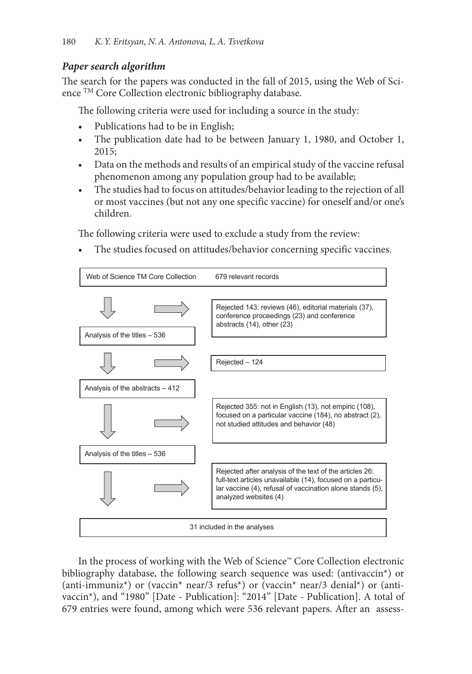### *Paper search algorithm*

The search for the papers was conducted in the fall of 2015, using the Web of Science TM Core Collection electronic bibliography database.

The following criteria were used for including a source in the study:

- • Publications had to be in English;
- The publication date had to be between January 1, 1980, and October 1, 2015;
- Data on the methods and results of an empirical study of the vaccine refusal phenomenon among any population group had to be available;
- The studies had to focus on attitudes/behavior leading to the rejection of all or most vaccines (but not any one specific vaccine) for oneself and/or one's children.

The following criteria were used to exclude a study from the review:

The studies focused on attitudes/behavior concerning specific vaccines.



In the process of working with the Web of Science™ Core Collection electronic bibliography database, the following search sequence was used: (antivaccin\*) or (anti-immuniz<sup>\*</sup>) or (vaccin<sup>\*</sup> near/3 refus<sup>\*</sup>) or (vaccin<sup>\*</sup> near/3 denial<sup>\*</sup>) or (antivaccin\*), and "1980" [Date - Publication]: "2014" [Date - Publication]. A total of 679 entries were found, among which were 536 relevant papers. After an assess-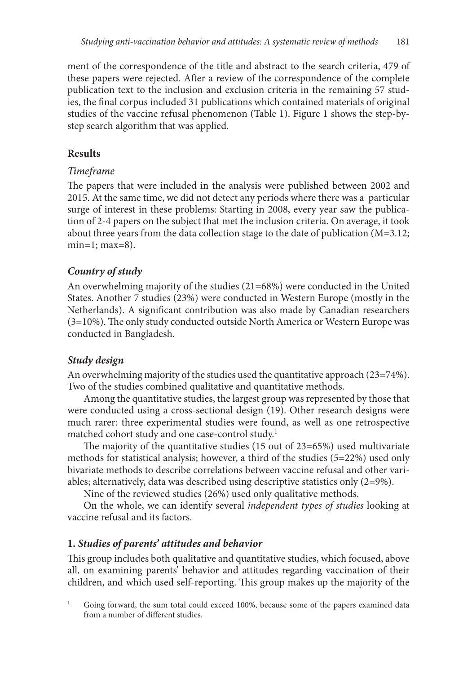ment of the correspondence of the title and abstract to the search criteria, 479 of these papers were rejected. After a review of the correspondence of the complete publication text to the inclusion and exclusion criteria in the remaining 57 studies, the final corpus included 31 publications which contained materials of original studies of the vaccine refusal phenomenon (Table 1). Figure 1 shows the step-bystep search algorithm that was applied.

#### **Results**

#### *Timeframe*

The papers that were included in the analysis were published between 2002 and 2015. At the same time, we did not detect any periods where there was a particular surge of interest in these problems: Starting in 2008, every year saw the publication of 2-4 papers on the subject that met the inclusion criteria. On average, it took about three years from the data collection stage to the date of publication ( $M=3.12$ ;  $min=1; max=8$ ).

### *Country of study*

An overwhelming majority of the studies (21=68%) were conducted in the United States. Another 7 studies (23%) were conducted in Western Europe (mostly in the Netherlands). A significant contribution was also made by Canadian researchers (3=10%). The only study conducted outside North America or Western Europe was conducted in Bangladesh.

### *Study design*

An overwhelming majority of the studies used the quantitative approach (23=74%). Two of the studies combined qualitative and quantitative methods.

Among the quantitative studies, the largest group was represented by those that were conducted using a cross-sectional design (19). Other research designs were much rarer: three experimental studies were found, as well as one retrospective matched cohort study and one case-control study.<sup>1</sup>

The majority of the quantitative studies (15 out of 23=65%) used multivariate methods for statistical analysis; however, a third of the studies (5=22%) used only bivariate methods to describe correlations between vaccine refusal and other variables; alternatively, data was described using descriptive statistics only (2=9%).

Nine of the reviewed studies (26%) used only qualitative methods.

On the whole, we can identify several *independent types of studies* looking at vaccine refusal and its factors.

### **1.** *Studies of parents' attitudes and behavior*

This group includes both qualitative and quantitative studies, which focused, above all, on examining parents' behavior and attitudes regarding vaccination of their children, and which used self-reporting. This group makes up the majority of the

1 Going forward, the sum total could exceed 100%, because some of the papers examined data from a number of different studies.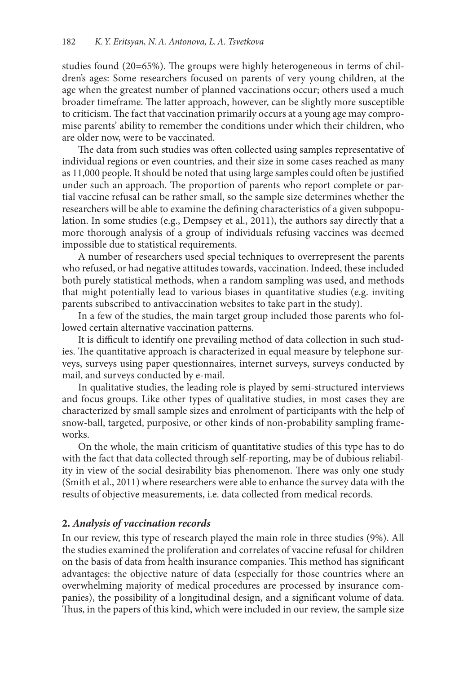studies found (20=65%). The groups were highly heterogeneous in terms of children's ages: Some researchers focused on parents of very young children, at the age when the greatest number of planned vaccinations occur; others used a much broader timeframe. The latter approach, however, can be slightly more susceptible to criticism. The fact that vaccination primarily occurs at a young age may compromise parents' ability to remember the conditions under which their children, who are older now, were to be vaccinated.

The data from such studies was often collected using samples representative of individual regions or even countries, and their size in some cases reached as many as 11,000 people. It should be noted that using large samples could often be justified under such an approach. The proportion of parents who report complete or partial vaccine refusal can be rather small, so the sample size determines whether the researchers will be able to examine the defining characteristics of a given subpopulation. In some studies (e.g., Dempsey et al., 2011), the authors say directly that a more thorough analysis of a group of individuals refusing vaccines was deemed impossible due to statistical requirements.

A number of researchers used special techniques to overrepresent the parents who refused, or had negative attitudes towards, vaccination. Indeed, these included both purely statistical methods, when a random sampling was used, and methods that might potentially lead to various biases in quantitative studies (e.g. inviting parents subscribed to antivaccination websites to take part in the study).

In a few of the studies, the main target group included those parents who followed certain alternative vaccination patterns.

It is difficult to identify one prevailing method of data collection in such studies. The quantitative approach is characterized in equal measure by telephone surveys, surveys using paper questionnaires, internet surveys, surveys conducted by mail, and surveys conducted by e-mail.

In qualitative studies, the leading role is played by semi-structured interviews and focus groups. Like other types of qualitative studies, in most cases they are characterized by small sample sizes and enrolment of participants with the help of snow-ball, targeted, purposive, or other kinds of non-probability sampling frameworks.

On the whole, the main criticism of quantitative studies of this type has to do with the fact that data collected through self-reporting, may be of dubious reliability in view of the social desirability bias phenomenon. There was only one study (Smith et al., 2011) where researchers were able to enhance the survey data with the results of objective measurements, i.e. data collected from medical records.

#### **2.** *Analysis of vaccination records*

In our review, this type of research played the main role in three studies (9%). All the studies examined the proliferation and correlates of vaccine refusal for children on the basis of data from health insurance companies. This method has significant advantages: the objective nature of data (especially for those countries where an overwhelming majority of medical procedures are processed by insurance companies), the possibility of a longitudinal design, and a significant volume of data. Thus, in the papers of this kind, which were included in our review, the sample size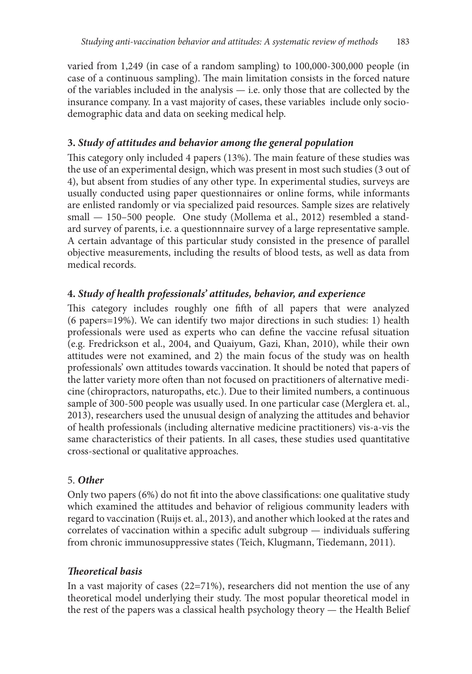varied from 1,249 (in case of a random sampling) to 100,000-300,000 people (in case of a continuous sampling). The main limitation consists in the forced nature of the variables included in the analysis — i.e. only those that are collected by the insurance company. In a vast majority of cases, these variables include only sociodemographic data and data on seeking medical help.

# **3.** *Study of attitudes and behavior among the general population*

This category only included 4 papers (13%). The main feature of these studies was the use of an experimental design, which was present in most such studies (3 out of 4), but absent from studies of any other type. In experimental studies, surveys are usually conducted using paper questionnaires or online forms, while informants are enlisted randomly or via specialized paid resources. Sample sizes are relatively small — 150–500 people. One study (Mollema et al., 2012) resembled a standard survey of parents, i.e. a questionnnaire survey of a large representative sample. A certain advantage of this particular study consisted in the presence of parallel objective measurements, including the results of blood tests, as well as data from medical records.

# **4.** *Study of health professionals' attitudes, behavior, and experience*

This category includes roughly one fifth of all papers that were analyzed (6 papers=19%). We can identify two major directions in such studies: 1) health professionals were used as experts who can define the vaccine refusal situation (e.g. Fredrickson et al., 2004, and Quaiyum, Gazi, Khan, 2010), while their own attitudes were not examined, and 2) the main focus of the study was on health professionals' own attitudes towards vaccination. It should be noted that papers of the latter variety more often than not focused on practitioners of alternative medicine (chiropractors, naturopaths, etc.). Due to their limited numbers, a continuous sample of 300-500 people was usually used. In one particular case (Merglera et. al., 2013), researchers used the unusual design of analyzing the attitudes and behavior of health professionals (including alternative medicine practitioners) vis-a-vis the same characteristics of their patients. In all cases, these studies used quantitative cross-sectional or qualitative approaches.

# 5. *Other*

Only two papers (6%) do not fit into the above classifications: one qualitative study which examined the attitudes and behavior of religious community leaders with regard to vaccination (Ruijs et. al., 2013), and another which looked at the rates and correlates of vaccination within a specific adult subgroup — individuals suffering from chronic immunosuppressive states (Teich, Klugmann, Tiedemann, 2011).

# *Theoretical basis*

In a vast majority of cases  $(22=71\%)$ , researchers did not mention the use of any theoretical model underlying their study. The most popular theoretical model in the rest of the papers was a classical health psychology theory — the Health Belief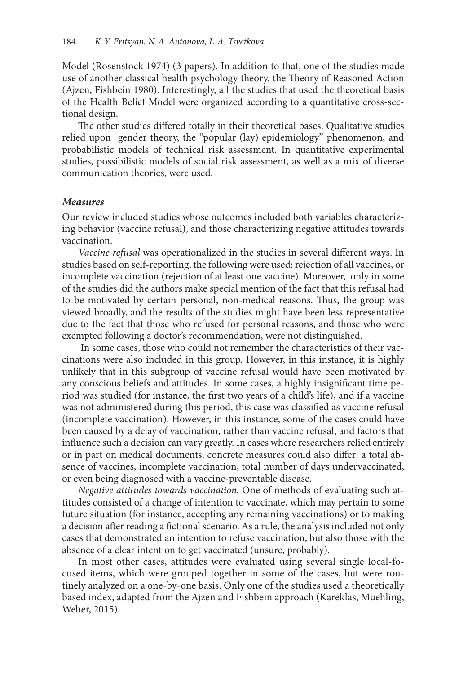Model (Rosenstock 1974) (3 papers). In addition to that, one of the studies made use of another classical health psychology theory, the Theory of Reasoned Action (Ajzen, Fishbein 1980). Interestingly, all the studies that used the theoretical basis of the Health Belief Model were organized according to a quantitative cross-sectional design.

The other studies differed totally in their theoretical bases. Qualitative studies relied upon gender theory, the "popular (lay) epidemiology" phenomenon, and probabilistic models of technical risk assessment. In quantitative experimental studies, possibilistic models of social risk assessment, as well as a mix of diverse communication theories, were used.

#### *Measures*

Our review included studies whose outcomes included both variables characterizing behavior (vaccine refusal), and those characterizing negative attitudes towards vaccination.

*Vaccine refusal* was operationalized in the studies in several different ways. In studies based on self-reporting, the following were used: rejection of all vaccines, or incomplete vaccination (rejection of at least one vaccine). Moreover, only in some of the studies did the authors make special mention of the fact that this refusal had to be motivated by certain personal, non-medical reasons. Thus, the group was viewed broadly, and the results of the studies might have been less representative due to the fact that those who refused for personal reasons, and those who were exempted following a doctor's recommendation, were not distinguished.

 In some cases, those who could not remember the characteristics of their vaccinations were also included in this group. However, in this instance, it is highly unlikely that in this subgroup of vaccine refusal would have been motivated by any conscious beliefs and attitudes. In some cases, a highly insignificant time period was studied (for instance, the first two years of a child's life), and if a vaccine was not administered during this period, this case was classified as vaccine refusal (incomplete vaccination). However, in this instance, some of the cases could have been caused by a delay of vaccination, rather than vaccine refusal, and factors that influence such a decision can vary greatly. In cases where researchers relied entirely or in part on medical documents, concrete measures could also differ: a total absence of vaccines, incomplete vaccination, total number of days undervaccinated, or even being diagnosed with a vaccine-preventable disease.

*Negative attitudes towards vaccination.* One of methods of evaluating such attitudes consisted of a change of intention to vaccinate, which may pertain to some future situation (for instance, accepting any remaining vaccinations) or to making a decision after reading a fictional scenario. As a rule, the analysis included not only cases that demonstrated an intention to refuse vaccination, but also those with the absence of a clear intention to get vaccinated (unsure, probably).

In most other cases, attitudes were evaluated using several single local-focused items, which were grouped together in some of the cases, but were routinely analyzed on a one-by-one basis. Only one of the studies used a theoretically based index, adapted from the Ajzen and Fishbein approach (Kareklas, Muehling, Weber, 2015).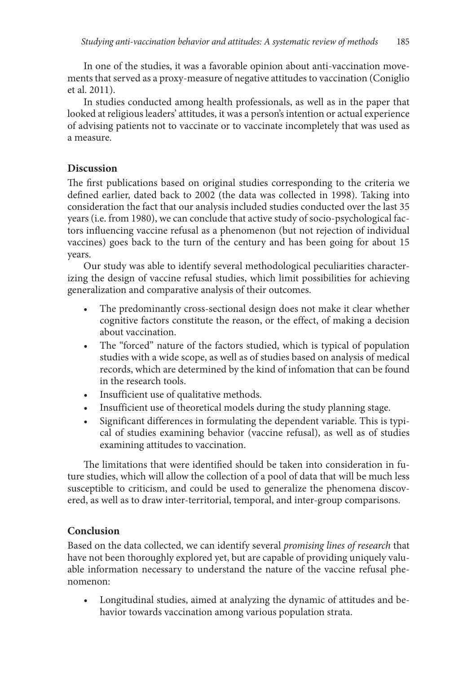In one of the studies, it was a favorable opinion about anti-vaccination movements that served as a proxy-measure of negative attitudes to vaccination (Coniglio et al. 2011).

In studies conducted among health professionals, as well as in the paper that looked at religious leaders' attitudes, it was a person's intention or actual experience of advising patients not to vaccinate or to vaccinate incompletely that was used as a measure.

### **Discussion**

The first publications based on original studies corresponding to the criteria we defined earlier, dated back to 2002 (the data was collected in 1998). Taking into consideration the fact that our analysis included studies conducted over the last 35 years (i.e. from 1980), we can conclude that active study of socio-psychological factors influencing vaccine refusal as a phenomenon (but not rejection of individual vaccines) goes back to the turn of the century and has been going for about 15 years.

Our study was able to identify several methodological peculiarities characterizing the design of vaccine refusal studies, which limit possibilities for achieving generalization and comparative analysis of their outcomes.

- The predominantly cross-sectional design does not make it clear whether cognitive factors constitute the reason, or the effect, of making a decision about vaccination.
- The "forced" nature of the factors studied, which is typical of population studies with a wide scope, as well as of studies based on analysis of medical records, which are determined by the kind of infomation that can be found in the research tools.
- Insufficient use of qualitative methods.
- Insufficient use of theoretical models during the study planning stage.
- Significant differences in formulating the dependent variable. This is typical of studies examining behavior (vaccine refusal), as well as of studies examining attitudes to vaccination.

The limitations that were identified should be taken into consideration in future studies, which will allow the collection of a pool of data that will be much less susceptible to criticism, and could be used to generalize the phenomena discovered, as well as to draw inter-territorial, temporal, and inter-group comparisons.

# **Conclusion**

Based on the data collected, we can identify several *promising lines of research* that have not been thoroughly explored yet, but are capable of providing uniquely valuable information necessary to understand the nature of the vaccine refusal phenomenon:

Longitudinal studies, aimed at analyzing the dynamic of attitudes and behavior towards vaccination among various population strata.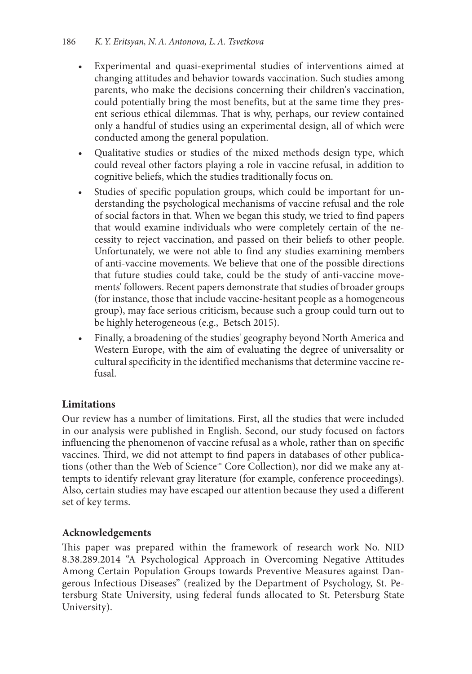- • Experimental and quasi-exeprimental studies of interventions aimed at changing attitudes and behavior towards vaccination. Such studies among parents, who make the decisions concerning their children's vaccination, could potentially bring the most benefits, but at the same time they present serious ethical dilemmas. That is why, perhaps, our review contained only a handful of studies using an experimental design, all of which were conducted among the general population.
- • Qualitative studies or studies of the mixed methods design type, which could reveal other factors playing a role in vaccine refusal, in addition to cognitive beliefs, which the studies traditionally focus on.
- Studies of specific population groups, which could be important for understanding the psychological mechanisms of vaccine refusal and the role of social factors in that. When we began this study, we tried to find papers that would examine individuals who were completely certain of the necessity to reject vaccination, and passed on their beliefs to other people. Unfortunately, we were not able to find any studies examining members of anti-vaccine movements. We believe that one of the possible directions that future studies could take, could be the study of anti-vaccine movements' followers. Recent papers demonstrate that studies of broader groups (for instance, those that include vaccine-hesitant people as a homogeneous group), may face serious criticism, because such a group could turn out to be highly heterogeneous (e.g., Betsch 2015).
- • Finally, a broadening of the studies' geography beyond North America and Western Europe, with the aim of evaluating the degree of universality or cultural specificity in the identified mechanisms that determine vaccine refusal.

# **Limitations**

Our review has a number of limitations. First, all the studies that were included in our analysis were published in English. Second, our study focused on factors influencing the phenomenon of vaccine refusal as a whole, rather than on specific vaccines. Third, we did not attempt to find papers in databases of other publications (other than the Web of Science™ Core Collection), nor did we make any attempts to identify relevant gray literature (for example, conference proceedings). Also, certain studies may have escaped our attention because they used a different set of key terms.

# **Acknowledgements**

This paper was prepared within the framework of research work No. NID 8.38.289.2014 "A Psychological Approach in Overcoming Negative Attitudes Among Certain Population Groups towards Preventive Measures against Dangerous Infectious Diseases" (realized by the Department of Psychology, St. Petersburg State University, using federal funds allocated to St. Petersburg State University).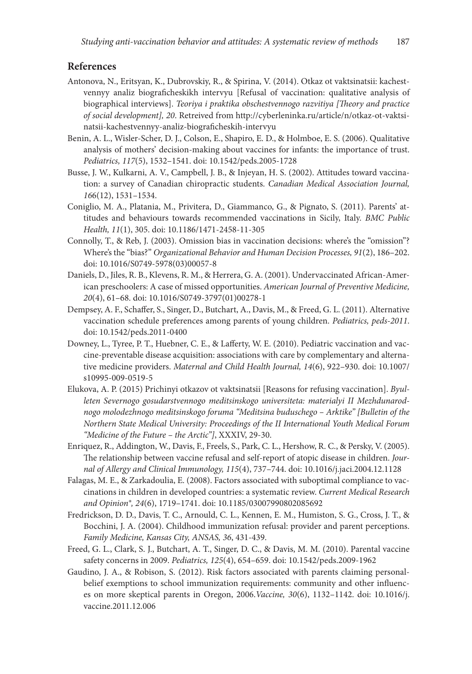#### **References**

- Antonova, N., Eritsyan, K., Dubrovskiy, R., & Spirina, V. (2014). Otkaz ot vaktsinatsii: kachestvennyy analiz biograficheskikh intervyu [Refusal of vaccination: qualitative analysis of biographical interviews]. *Teoriya i praktika obschestvennogo razvitiya [Theory and practice of social development], 20*. Retreived from http://cyberleninka.ru/article/n/otkaz-ot-vaktsinatsii-kachestvennyy-analiz-biograficheskih-intervyu
- Benin, A. L., Wisler-Scher, D. J., Colson, E., Shapiro, E. D., & Holmboe, E. S. (2006). Qualitative analysis of mothers' decision-making about vaccines for infants: the importance of trust. *Pediatrics, 117*(5), 1532–1541. doi: 10.1542/peds.2005-1728
- Busse, J. W., Kulkarni, A. V., Campbell, J. B., & Injeyan, H. S. (2002). Attitudes toward vaccination: a survey of Canadian chiropractic students. *Canadian Medical Association Journal, 16*6(12), 1531–1534.
- Coniglio, M. A., Platania, M., Privitera, D., Giammanco, G., & Pignato, S. (2011). Parents' attitudes and behaviours towards recommended vaccinations in Sicily, Italy. *BMC Public Health, 11*(1), 305. doi: 10.1186/1471-2458-11-305
- Connolly, T., & Reb, J. (2003). Omission bias in vaccination decisions: where's the "omission"? Where's the "bias?" *Organizational Behavior and Human Decision Processes, 91*(2), 186–202. doi: 10.1016/S0749-5978(03)00057-8
- Daniels, D., Jiles, R. B., Klevens, R. M., & Herrera, G. A. (2001). Undervaccinated African-American preschoolers: A case of missed opportunities. *American Journal of Preventive Medicine, 20*(4), 61–68. doi: 10.1016/S0749-3797(01)00278-1
- Dempsey, A. F., Schaffer, S., Singer, D., Butchart, A., Davis, M., & Freed, G. L. (2011). Alternative vaccination schedule preferences among parents of young children. *Pediatrics, peds-2011*. doi: 10.1542/peds.2011-0400
- Downey, L., Tyree, P. T., Huebner, C. E., & Lafferty, W. E. (2010). Pediatric vaccination and vaccine-preventable disease acquisition: associations with care by complementary and alternative medicine providers. *Maternal and Child Health Journal, 14*(6), 922–930. doi: 10.1007/ s10995-009-0519-5
- Elukova, A. P. (2015) Prichinyi otkazov ot vaktsinatsii [Reasons for refusing vaccination]. *Byulleten Severnogo gosudarstvennogo meditsinskogo universiteta: materialyi II Mezhdunarodnogo molodezhnogo meditsinskogo foruma "Meditsina buduschego – Arktike" [Bulletin of the Northern State Medical University: Proceedings of the II International Youth Medical Forum "Medicine of the Future – the Arctic"]*, XXXIV, 29-30.
- Enriquez, R., Addington, W., Davis, F., Freels, S., Park, C. L., Hershow, R. C., & Persky, V. (2005). The relationship between vaccine refusal and self-report of atopic disease in children. *Journal of Allergy and Clinical Immunology, 115*(4), 737–744. doi: 10.1016/j.jaci.2004.12.1128
- Falagas, M. E., & Zarkadoulia, E. (2008). Factors associated with suboptimal compliance to vaccinations in children in developed countries: a systematic review. *Current Medical Research and Opinion®, 24*(6), 1719–1741. doi: 10.1185/03007990802085692
- Fredrickson, D. D., Davis, T. C., Arnould, C. L., Kennen, E. M., Humiston, S. G., Cross, J. T., & Bocchini, J. A. (2004). Childhood immunization refusal: provider and parent perceptions. *Family Medicine, Kansas City, ANSAS, 36*, 431-439.
- Freed, G. L., Clark, S. J., Butchart, A. T., Singer, D. C., & Davis, M. M. (2010). Parental vaccine safety concerns in 2009. *Pediatrics, 125*(4), 654–659. doi: 10.1542/peds.2009-1962
- Gaudino, J. A., & Robison, S. (2012). Risk factors associated with parents claiming personalbelief exemptions to school immunization requirements: community and other influences on more skeptical parents in Oregon, 2006.*Vaccine, 30*(6), 1132–1142. doi: 10.1016/j. vaccine.2011.12.006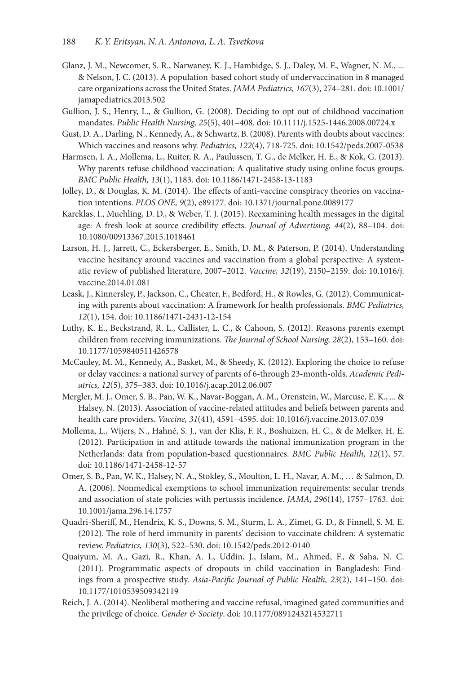- Glanz, J. M., Newcomer, S. R., Narwaney, K. J., Hambidge, S. J., Daley, M. F., Wagner, N. M., ... & Nelson, J. C. (2013). A population-based cohort study of undervaccination in 8 managed care organizations across the United States. *JAMA Pediatrics, 167*(3), 274–281. doi: 10.1001/ jamapediatrics.2013.502
- Gullion, J. S., Henry, L., & Gullion, G. (2008). Deciding to opt out of childhood vaccination mandates. *Public Health Nursing, 25*(5), 401–408. doi: 10.1111/j.1525-1446.2008.00724.x
- Gust, D. A., Darling, N., Kennedy, A., & Schwartz, B. (2008). Parents with doubts about vaccines: Which vaccines and reasons why. *Pediatrics, 122*(4), 718-725. doi: 10.1542/peds.2007-0538
- Harmsen, I. A., Mollema, L., Ruiter, R. A., Paulussen, T. G., de Melker, H. E., & Kok, G. (2013). Why parents refuse childhood vaccination: A qualitative study using online focus groups. *BMC Public Health, 13*(1), 1183. doi: 10.1186/1471-2458-13-1183
- Jolley, D., & Douglas, K. M. (2014). The effects of anti-vaccine conspiracy theories on vaccination intentions. *PLOS ONE, 9*(2), e89177. doi: 10.1371/journal.pone.0089177
- Kareklas, I., Muehling, D. D., & Weber, T. J. (2015). Reexamining health messages in the digital age: A fresh look at source credibility effects. *Journal of Advertising, 44*(2), 88–104. doi: 10.1080/00913367.2015.1018461
- Larson, H. J., Jarrett, C., Eckersberger, E., Smith, D. M., & Paterson, P. (2014). Understanding vaccine hesitancy around vaccines and vaccination from a global perspective: A systematic review of published literature, 2007–2012. *Vaccine, 32*(19), 2150–2159. doi: 10.1016/j. vaccine.2014.01.081
- Leask, J., Kinnersley, P., Jackson, C., Cheater, F., Bedford, H., & Rowles, G. (2012). Communicating with parents about vaccination: A framework for health professionals. *BMC Pediatrics, 12*(1), 154. doi: 10.1186/1471-2431-12-154
- Luthy, K. E., Beckstrand, R. L., Callister, L. C., & Cahoon, S. (2012). Reasons parents exempt children from receiving immunizations. *The Journal of School Nursing, 28*(2), 153–160. doi: 10.1177/1059840511426578
- McCauley, M. M., Kennedy, A., Basket, M., & Sheedy, K. (2012). Exploring the choice to refuse or delay vaccines: a national survey of parents of 6-through 23-month-olds. *Academic Pediatrics, 12*(5), 375–383. doi: 10.1016/j.acap.2012.06.007
- Mergler, M. J., Omer, S. B., Pan, W. K., Navar-Boggan, A. M., Orenstein, W., Marcuse, E. K., ... & Halsey, N. (2013). Association of vaccine-related attitudes and beliefs between parents and health care providers. *Vaccine, 31*(41), 4591–4595. doi: 10.1016/j.vaccine.2013.07.039
- Mollema, L., Wijers, N., Hahné, S. J., van der Klis, F. R., Boshuizen, H. C., & de Melker, H. E. (2012). Participation in and attitude towards the national immunization program in the Netherlands: data from population-based questionnaires. *BMC Public Health, 12*(1), 57. doi: 10.1186/1471-2458-12-57
- Omer, S. B., Pan, W. K., Halsey, N. A., Stokley, S., Moulton, L. H., Navar, A. M., … & Salmon, D. A. (2006). Nonmedical exemptions to school immunization requirements: secular trends and association of state policies with pertussis incidence. *JAMA, 296*(14), 1757–1763. doi: 10.1001/jama.296.14.1757
- Quadri-Sheriff, M., Hendrix, K. S., Downs, S. M., Sturm, L. A., Zimet, G. D., & Finnell, S. M. E. (2012). The role of herd immunity in parents' decision to vaccinate children: A systematic review. *Pediatrics, 130*(3), 522–530. doi: 10.1542/peds.2012-0140
- Quaiyum, M. A., Gazi, R., Khan, A. I., Uddin, J., Islam, M., Ahmed, F., & Saha, N. C. (2011). Programmatic aspects of dropouts in child vaccination in Bangladesh: Findings from a prospective study. *Asia-Pacific Journal of Public Health, 23*(2), 141–150. doi: 10.1177/1010539509342119
- Reich, J. A. (2014). Neoliberal mothering and vaccine refusal, imagined gated communities and the privilege of choice. *Gender & Society*. doi: 10.1177/0891243214532711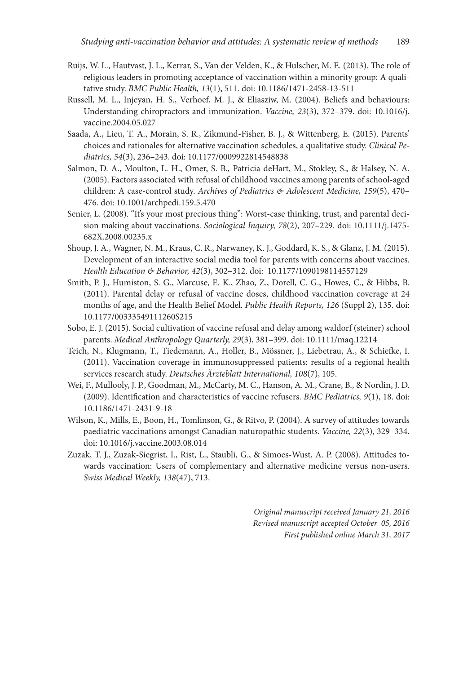- Ruijs, W. L., Hautvast, J. L., Kerrar, S., Van der Velden, K., & Hulscher, M. E. (2013). The role of religious leaders in promoting acceptance of vaccination within a minority group: A qualitative study. *BMC Public Health, 13*(1), 511. doi: 10.1186/1471-2458-13-511
- Russell, M. L., Injeyan, H. S., Verhoef, M. J., & Eliasziw, M. (2004). Beliefs and behaviours: Understanding chiropractors and immunization. *Vaccine, 23*(3), 372–379. doi: 10.1016/j. vaccine.2004.05.027
- Saada, A., Lieu, T. A., Morain, S. R., Zikmund-Fisher, B. J., & Wittenberg, E. (2015). Parents' choices and rationales for alternative vaccination schedules, a qualitative study. *Clinical Pediatrics, 54*(3), 236–243. doi: 10.1177/0009922814548838
- Salmon, D. A., Moulton, L. H., Omer, S. B., Patricia deHart, M., Stokley, S., & Halsey, N. A. (2005). Factors associated with refusal of childhood vaccines among parents of school-aged children: A case-control study. *Archives of Pediatrics & Adolescent Medicine, 159*(5), 470– 476. doi: 10.1001/archpedi.159.5.470
- Senier, L. (2008). "It's your most precious thing": Worst-case thinking, trust, and parental decision making about vaccinations. *Sociological Inquiry, 78*(2), 207–229. doi: 10.1111/j.1475- 682X.2008.00235.x
- Shoup, J. A., Wagner, N. M., Kraus, C. R., Narwaney, K. J., Goddard, K. S., & Glanz, J. M. (2015). Development of an interactive social media tool for parents with concerns about vaccines. *Health Education & Behavior, 42*(3), 302–312. doi: 10.1177/1090198114557129
- Smith, P. J., Humiston, S. G., Marcuse, E. K., Zhao, Z., Dorell, C. G., Howes, C., & Hibbs, B. (2011). Parental delay or refusal of vaccine doses, childhood vaccination coverage at 24 months of age, and the Health Belief Model. *Public Health Reports, 126* (Suppl 2), 135. doi: 10.1177/00333549111260S215
- Sobo, E. J. (2015). Social cultivation of vaccine refusal and delay among waldorf (steiner) school parents. *Medical Anthropology Quarterly, 29*(3), 381–399. doi: 10.1111/maq.12214
- Teich, N., Klugmann, T., Tiedemann, A., Holler, B., Mössner, J., Liebetrau, A., & Schiefke, I. (2011). Vaccination coverage in immunosuppressed patients: results of a regional health services research study. *Deutsches Ärzteblatt International, 108*(7), 105.
- Wei, F., Mullooly, J. P., Goodman, M., McCarty, M. C., Hanson, A. M., Crane, B., & Nordin, J. D. (2009). Identification and characteristics of vaccine refusers. *BMC Pediatrics, 9*(1), 18. doi: 10.1186/1471-2431-9-18
- Wilson, K., Mills, E., Boon, H., Tomlinson, G., & Ritvo, P. (2004). A survey of attitudes towards paediatric vaccinations amongst Canadian naturopathic students. *Vaccine, 22*(3), 329–334. doi: 10.1016/j.vaccine.2003.08.014
- Zuzak, T. J., Zuzak-Siegrist, I., Rist, L., Staubli, G., & Simoes-Wust, A. P. (2008). Attitudes towards vaccination: Users of complementary and alternative medicine versus non-users. *Swiss Medical Weekly, 138*(47), 713.

*Original manuscript received January 21, 2016 Revised manuscript accepted October 05, 2016 First published online March 31, 2017*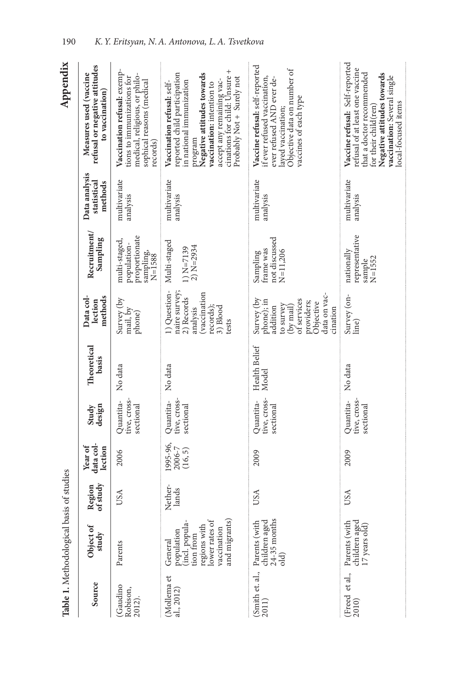|                               | Table 1. Methodological basis of studies                                                                              |                    |                                 |                                        |                        |                                                                                                                                     |                                                                      |                                         | Appendix                                                                                                                                                                                                                                                |
|-------------------------------|-----------------------------------------------------------------------------------------------------------------------|--------------------|---------------------------------|----------------------------------------|------------------------|-------------------------------------------------------------------------------------------------------------------------------------|----------------------------------------------------------------------|-----------------------------------------|---------------------------------------------------------------------------------------------------------------------------------------------------------------------------------------------------------------------------------------------------------|
| Source                        | Object of<br>study                                                                                                    | Region<br>of study | data col-<br>Year of<br>lection | design<br>Study                        | Theoretical<br>basis   | Data col-<br>methods<br>lection                                                                                                     | Recruitment/<br>Sampling                                             | Data analysis<br>statistical<br>methods | refusal or negative attitudes<br>Measures used (vaccine<br>to vaccination                                                                                                                                                                               |
| Gaudino<br>Robison,<br>2012). | Parents                                                                                                               | USA                | 2006                            | tive, cross-<br>Quantita-<br>sectional | No data                | Survey (by<br>mail, by<br>phone)                                                                                                    | proportionate<br>multi-staged,<br>population-<br>sampling,<br>N=1588 | multivariate<br>analysis                | Vaccination refusal: exemp-<br>medical, religious, or philo-<br>tions to immunizations for<br>sophical reasons (medical<br>records)                                                                                                                     |
| (Mollema et<br>al., 2012)     | and migrants)<br>lower rates of<br>population<br>(incl. popula-<br>regions with<br>vaccination<br>ion from<br>General | Nether-<br>lands   | 1995-96,<br>2006-7<br>(16, 5)   | tive, cross-<br>Quantita-<br>sectional | No data                | 1) Question-<br>naire survey<br>(vaccination<br>2) Records<br>records);<br>3) Blood<br>analysis<br>tests                            | Multi-staged<br>$2)$ N= $2934$<br>$1) N = 7139$                      | multivariate<br>analysis                | cinations for child: Unsure +<br>reported child participation<br>Negative attitudes towards<br>Probably Not + Surely not<br>accept any remaining vac-<br>Vaccination refusal: self-<br>in national immunization<br>vaccination: intention to<br>program |
| (Smith et. al.,<br>2011)      | $24-35$ months<br>children aged<br>Parents (with<br>old)                                                              | USA                | 2009                            | tive, cross-<br>Quantita-<br>sectional | Health Belief<br>Model | data on vac-<br>Survey (by<br>of services<br>phone); in<br>providers;<br>Objective<br>o survey<br>(by mail)<br>addition<br>cination | not discussed<br>frame was<br>$N = 11,206$<br>Sampling               | multivariate<br>analysis                | Vaccine refusal: self-reported<br>Objective data on number of<br>if ever refused vaccination,<br>ever refused AND ever de-<br>vaccines of each type<br>layed vaccination;                                                                               |
| (Freed et al.,<br>2010)       | children aged<br>Parents (with<br>17 years old)                                                                       | USA                | 2009                            | tive, cross-<br>Quantita-<br>sectional | No data                | Survey (on-<br>line)                                                                                                                | representative<br>nationally<br>$N = 1552$<br>sample                 | multivariate<br>analysis                | Vaccine refusal: Self-reported<br>refusal of at least one vaccine<br>that a doctor recommended<br>Negative attitudes towards<br>vaccination: Several single<br>local-focused items<br>for their child(ren)                                              |

**Appendix**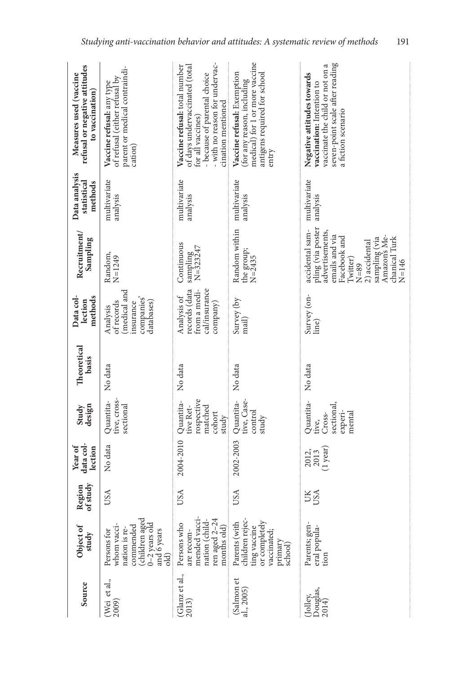| Source                       | Object of<br>study                                                                                                  | Region<br>of stud | data col-<br>Year of<br>lection  | design<br>Study                                                    | <b>Theoretical</b><br>basis | Data col-<br>methods<br>lection                                               | Recruitment/<br>Sampling                                                                                                                                                                        | Data analysis<br>statistical<br>methods | refusal or negative attitudes<br>Measures used (vaccine<br>to vaccination                                                                                                    |
|------------------------------|---------------------------------------------------------------------------------------------------------------------|-------------------|----------------------------------|--------------------------------------------------------------------|-----------------------------|-------------------------------------------------------------------------------|-------------------------------------------------------------------------------------------------------------------------------------------------------------------------------------------------|-----------------------------------------|------------------------------------------------------------------------------------------------------------------------------------------------------------------------------|
| Wei et al.,<br>2009)         | children aged<br>$0-2$ years old<br>and 6 years<br>commended<br>whom vacci-<br>nation is re-<br>Persons for<br>old) | USA               | No data                          | tive, cross-<br>Quantita-<br>sectional                             | No data                     | medical and<br>companies'<br>of records<br>databases)<br>nsurance<br>Analysis | Random,<br>$N = 1249$                                                                                                                                                                           | multivariate<br>analysis                | parent or medical contraindi-<br>of refusal (either refusal by<br>Vaccine refusal: any type<br>cation)                                                                       |
| Glanz et al.,<br>2013)       | mended vacci-<br>ren aged 2–24<br>nation (child-<br>Persons who<br>months old)<br>are recom-                        | USA               | 2004-2010                        | rospective<br>Quantita-<br>matched<br>tive Ret-<br>cohort<br>study | No data                     | records (data<br>cal/insurance<br>from a medi-<br>Analysis of<br>company)     | Continuous<br>sampling<br>N=323247                                                                                                                                                              | multivariate<br>analysis                | - with no reason for undervac-<br>Vaccine refusal: total number<br>of days undervaccinated (total<br>- because of parental choice<br>cination mentioned<br>for all vaccines) |
| (Salmon et<br>al., 2005)     | children rejec-<br>or completely<br>Parents (with<br>ting vaccine<br>vaccinated;<br>primary<br>school)              | USA               | 2002-2003                        | tive, Case-<br>Quantita-<br>control<br>study                       | No data                     | Survey (by<br>mail)                                                           | Random within<br>the group;<br>$N=2435$                                                                                                                                                         | multivariate<br>analysis                | medical) for 1 or more vaccine<br>Vaccine refusal: Exemption<br>antigens required for school<br>(for any reason, including<br>entry                                          |
| Douglas,<br>2014)<br>Jolley, | Parents; gen-<br>eral popula-<br>tion                                                                               | <b>USA</b>        | $(1$ year) $\,$<br>2012,<br>2013 | Quantita-<br>sectional,<br>experi-<br>Cross-<br>mental<br>tive,    | No data                     | Survey (on-<br>line)                                                          | pling (via poster<br>accidental sam-<br>advertisements,<br>emails and via<br>sampling (via<br>Amazon's Me-<br>Facebook and<br>chanical Turk<br>2) accidental<br>Twitter)<br>$N = 146$<br>$N=89$ | multivariate<br>analysis                | seven-point scale after reading<br>vaccinate the child or not on a<br>Negative attitudes towards<br>vaccination: Intention to<br>a fiction scenario                          |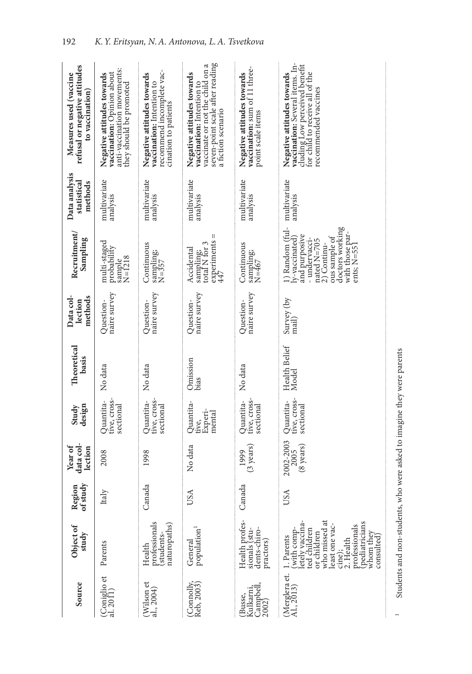| Source                          | Object of<br>study                                                                                                                                                                                | Region<br>of study | data col-<br>Year of<br>lection  | design<br>Study                         | Theoretical<br>basis   | Data col-<br>methods<br>lection | Recruitment/<br>Sampling                                                                                                                                                       | Data analysis<br>statistical<br>methods | refusal or negative attitudes<br>Measures used (vaccine<br>to vaccination                                                                                 |
|---------------------------------|---------------------------------------------------------------------------------------------------------------------------------------------------------------------------------------------------|--------------------|----------------------------------|-----------------------------------------|------------------------|---------------------------------|--------------------------------------------------------------------------------------------------------------------------------------------------------------------------------|-----------------------------------------|-----------------------------------------------------------------------------------------------------------------------------------------------------------|
| (Coniglio et<br>al. 2011)       | Parents                                                                                                                                                                                           | Italy              | 2008                             | tive, cross-<br>Quantita-<br>sectional  | No data                | naire survey<br>Question-       | multi-staged<br>probability<br>$N = 1218$<br>sample                                                                                                                            | multivariate<br>analysis                | anti-vaccination movements:<br>vaccination: Opinion about<br>Negative attitudes towards<br>they should be promoted                                        |
| (Nilson et al., 2004)           | professionals<br>naturopaths)<br>students)<br>Health                                                                                                                                              | Canada             | 1998                             | tive, cross-<br>Quantita-<br>sectional  | No data                | naire survey<br>Question-       | Continuous<br>$\sum_{N=357}$                                                                                                                                                   | multivariate<br>analysis                | recommend incomplete vac-<br>Negative attitudes towards<br>vaccination: Intention to<br>cination to patients                                              |
| (Connolly,<br>Reb, 2003)        | population <sup>1</sup><br>General                                                                                                                                                                | USA                | No data                          | Quantita-<br>Experi-<br>mental<br>tive, | Omission<br>bias       | naire survey<br>Question-       | $\mathop{\rm experiments}_{447}$<br>$totalN$ for 3<br>Accidental<br>sampling;                                                                                                  | multivariate<br>analysis                | seven-point scale after reading<br>vaccinate or not the child on a<br>Negative attitudes towards<br>vaccination: Intention to<br>a fiction scenario       |
| Campbell,<br>2002)<br>Kulkarni, | Health profes-<br>sionals (stu-<br>dents-chiro-<br>practors)                                                                                                                                      | Canada             | $(3$ years)<br>1999              | tive, cross-<br>Quantita-<br>sectional  | No data                | naire survey<br>Ouestion-       | Continuous<br>$\sum_{N=467}$                                                                                                                                                   | multivariate<br>analysis                | vaccination: sum of 11 three-<br>Negative attitudes towards<br>point scale items                                                                          |
| (Merglera et.<br>Al., 2013)     | who missed at<br>(with comp-<br>letely vaccina-<br>pediatricians<br>professionals<br>least one vac<br>ted children<br>whom they<br>consulted)<br>or children<br>1. Parents<br>cine);<br>2. Health | USA                | 2002-2003<br>$(8$ years)<br>2005 | tive, cross-<br>Quantita-<br>sectional  | Health Belief<br>Model | Survey (by<br>mail)             | doctors working<br>1) Random (ful-<br>with those par-<br>and purposive<br>ous sample of<br>y-vaccinated)<br>- undervacci-<br>nated $N = 705$<br>2) Continu-<br>$ents; N = 55'$ | multivariate<br>analysis                | vaccination: Several items. In-<br>cluding Low perceived benefit<br>for child to receive all of the<br>Negative attitudes towards<br>recommended vaccines |
|                                 |                                                                                                                                                                                                   |                    |                                  |                                         |                        |                                 |                                                                                                                                                                                |                                         |                                                                                                                                                           |

 $\overline{\phantom{a}}$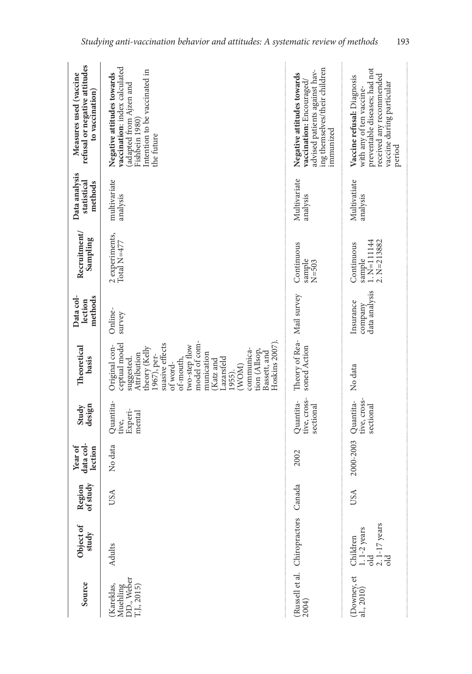| refusal or negative attitudes<br>Measures used (vaccine<br>to vaccination) | vaccination: index calculated<br>Intention to be vaccinated in<br>Negative attitudes towards<br>(adapted from Ajzen and<br>Fishbein 1980)<br>the future                                                                                                                                              | advised patients against hav-<br>ing themselves/their children<br>Negative attitudes towards<br>vaccination: Encouraged/<br>immunized | preventable diseases; had not<br>received any recommended<br>Vaccine refusal: Diagnosis<br>vaccine during particular<br>with any of ten vaccine-<br>period |
|----------------------------------------------------------------------------|------------------------------------------------------------------------------------------------------------------------------------------------------------------------------------------------------------------------------------------------------------------------------------------------------|---------------------------------------------------------------------------------------------------------------------------------------|------------------------------------------------------------------------------------------------------------------------------------------------------------|
| Data analysis<br>statistical<br>methods                                    | multivariate<br>analysis                                                                                                                                                                                                                                                                             | Multivariate<br>analysis                                                                                                              | Multivatiate<br>analysis                                                                                                                                   |
| Recruitment/<br>Sampling                                                   | $2\,\,experiments, \atop Total\,N=477$                                                                                                                                                                                                                                                               | Continuous<br>$\begin{array}{c}\n\text{sample} \\ \text{N} = 503\n\end{array}$                                                        | $1. N=111144$<br>$2. N=213882$<br>Continuous<br>sample                                                                                                     |
| Data col-<br>methods<br>lection                                            | Online-<br>survey                                                                                                                                                                                                                                                                                    |                                                                                                                                       | data analysis<br>Insurance<br>company                                                                                                                      |
| Theoretical<br>basis                                                       | model of com-<br>Hoskins 2007)<br>suasive effects<br>ceptual model<br>two-step flow<br>Original con-<br>theory (Kelly<br>communica-<br>tion (Allsop,<br>Bassett, and<br>munication<br>Attribution<br>1967), per-<br>suggested.<br>of-mouth,<br>Lazarsfeld<br>Katz and<br>of word-<br>(MOM)<br>1955). | Theory of Rea-Mail survey<br>soned Action                                                                                             | No data                                                                                                                                                    |
| design<br>Study                                                            | Quantita-<br>Experi-<br>mental<br>tive,                                                                                                                                                                                                                                                              | tive, cross-<br>Quantita-<br>sectional                                                                                                | tive, cross-<br>Quantita-<br>sectional                                                                                                                     |
| data col-<br>Year of<br>lection                                            | No data                                                                                                                                                                                                                                                                                              | 2002                                                                                                                                  | 2000-2003                                                                                                                                                  |
| Region<br>of study                                                         | USA                                                                                                                                                                                                                                                                                                  |                                                                                                                                       | USA                                                                                                                                                        |
| Object of<br>study                                                         | <b>Adults</b>                                                                                                                                                                                                                                                                                        | (Russell et al. Chiropractors Canada<br>2004)                                                                                         | Children<br>1. 1-2 years<br>old<br>2. 1-17 years                                                                                                           |
| Source                                                                     | Muehling<br>DD., Weber<br>T.J., 2015)<br>(Kareklas,                                                                                                                                                                                                                                                  |                                                                                                                                       | (Downey, et<br>al., 2010)                                                                                                                                  |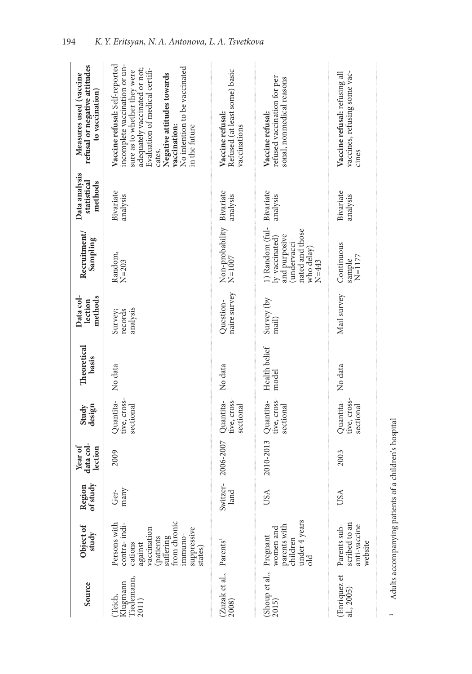| Source                                                       | Object of<br>study                                                                                                                               | of study<br>Region | data col-<br>Year of<br>lection | Study<br>design                        | <b>Theoretical</b><br>basis | Data col-<br>methods<br>lection | Recruitment/<br>Sampling                                                                                        | Data analysis<br>statistical<br>methods | refusal or negative attitudes<br>Measures used (vaccine<br>to vaccination)                                                                                                                                                                                                   |
|--------------------------------------------------------------|--------------------------------------------------------------------------------------------------------------------------------------------------|--------------------|---------------------------------|----------------------------------------|-----------------------------|---------------------------------|-----------------------------------------------------------------------------------------------------------------|-----------------------------------------|------------------------------------------------------------------------------------------------------------------------------------------------------------------------------------------------------------------------------------------------------------------------------|
| Tiedemann,<br>Klugmann<br>Teich,<br>2011)                    | from chronic<br>contra-indi-<br>Persons with<br>vaccination<br>suppressive<br>immuno-<br>(patients<br>suffering<br>cations<br>against<br>states) | many<br>Ger-       | 2009                            | tive, cross-<br>Quantita-<br>sectional | No data                     | analysis<br>Survey;<br>records  | Random,<br>$N = 203$                                                                                            | Bivariate<br>analysis                   | Vaccine refusal: Self-reported<br>incomplete vaccination or un-<br>No intention to be vaccinated<br>adequately vaccinated or not;<br>Evaluation of medical certifi-<br>sure as to whether they were<br>Negative attitudes towards<br>vaccination:<br>in the future<br>cates. |
| (Zuzak et al., Parents <sup>1</sup><br>2008)                 |                                                                                                                                                  | Switzer-<br>land   | 2006-2007                       | tive, cross-<br>Quantita-<br>sectional | No data                     | naire survey<br>Question-       | Non-probability<br>$N = 1007$                                                                                   | Bivariate<br>analysis                   | Refused (at least some) basic<br>Vaccine refusal:<br>vaccinations                                                                                                                                                                                                            |
| $\begin{array}{l} \text{(Show per al.)}\\ 2015) \end{array}$ | under 4 years<br>parents with<br>women and<br>Pregnant<br>children<br>old                                                                        | USA                | 2010-2013                       | tive, cross-<br>Quantita-<br>sectional | Health belief<br>model      | Survey (by<br>mail)             | 1) Random (ful-<br>nated and those<br>and purposive<br>ly-vaccinated)<br>undervacci-<br>who delay)<br>$N = 443$ | Bivariate<br>analysis                   | refused vaccination for per-<br>sonal, nonmedical reasons<br>Vaccine refusal:                                                                                                                                                                                                |
| (Enriquez et<br>al., 2005)                                   | scribed to an<br>Parents sub-<br>anti-vaccine<br>website                                                                                         | USA                | 2003                            | tive, cross-<br>Quantita-<br>sectional | No data                     | Mail survey                     | Continuous<br>$N=1177$<br>sample                                                                                | Bivariate<br>analysis                   | vaccines, refusing some vac-<br>Vaccine refusal: refusing all<br>cines                                                                                                                                                                                                       |
|                                                              | Adults accompanying patients of a                                                                                                                |                    | children's hospital             |                                        |                             |                                 |                                                                                                                 |                                         |                                                                                                                                                                                                                                                                              |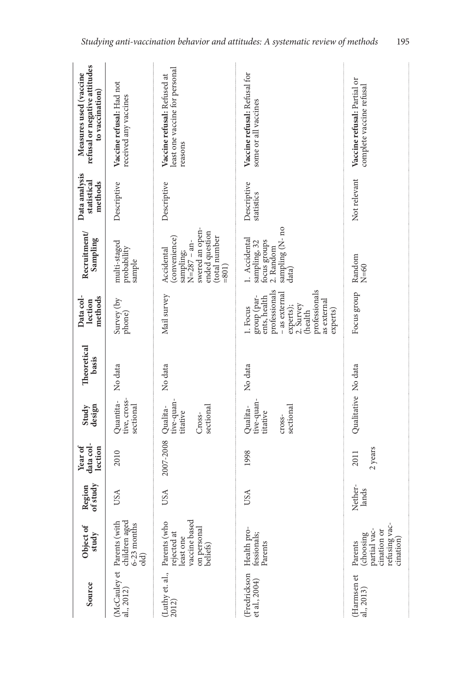| Source                        | Object of<br>study                                                                                                        | Region<br>of study | data col-<br>Year of<br>lection | design<br>Study                                           | Theoretical<br>basis | Data col-<br>methods<br>lection                                                                                                                            | Recruitment/<br>Sampling                                                                                                        | Data analysis<br>statistical<br>methods | refusal or negative attitudes<br>Measures used (vaccine<br>to vaccination) |
|-------------------------------|---------------------------------------------------------------------------------------------------------------------------|--------------------|---------------------------------|-----------------------------------------------------------|----------------------|------------------------------------------------------------------------------------------------------------------------------------------------------------|---------------------------------------------------------------------------------------------------------------------------------|-----------------------------------------|----------------------------------------------------------------------------|
| al., 2012)                    | children aged<br>6-23 months<br>old)<br>(McCauley et Parents (with                                                        | USA                | 2010                            | tive, cross-<br>Quantita-<br>sectional                    | No data              | Survey (by<br>phone)                                                                                                                                       | multi-staged<br>probability<br>sample                                                                                           | Descriptive                             | Vaccine refusal: Had not<br>received any vaccines                          |
|                               | vaccine based<br>(Luthy et. al., Parents (who<br>2012) rejected at<br>on personal<br>beliefs)<br>rejected at<br>least one | USA                | 2007-2008                       | tive-quan-<br>Qualita-<br>sectional<br>titative<br>Cross- | No data              | Mail survey                                                                                                                                                | swered an open-<br>ended question<br>(total number<br>(convenience)<br>$N = 287 - an -$<br>Accidental<br>sampling;<br>$= 801$ ) | Descriptive                             | east one vaccine for personal<br>Vaccine refusal: Refused at<br>reasons    |
| (Fredrickson<br>et al., 2004) | Health pro-<br>fessionals;<br>Parents                                                                                     | USA                | 1998                            | tive-quan-<br>sectional<br>Qualita-<br>titative<br>cross- | No data              | professionals<br>professionals<br>- as external<br>group (par-<br>ents, health<br>as external<br>2. Survey<br>(health<br>experts);<br>1. Focus<br>experts) | sampling (N-no<br>1. Accidental<br>focus groups<br>sampling, 32<br>2. Random<br>data)                                           | Descriptive<br>statistics               | Vaccine refusal: Refusal for<br>some or all vaccines                       |
| (Harmsen et<br>al., 2013)     | refusing vac-<br>partial vac-<br>cination or<br>choosing<br>cination<br>Parents                                           | Nether-<br>lands   | 2 years<br>2011                 | Qualitative No data                                       |                      | Focus group                                                                                                                                                | Random<br>$N=60$                                                                                                                | Not relevant                            | Vaccine refusal: Partial or<br>complete vaccine refusal                    |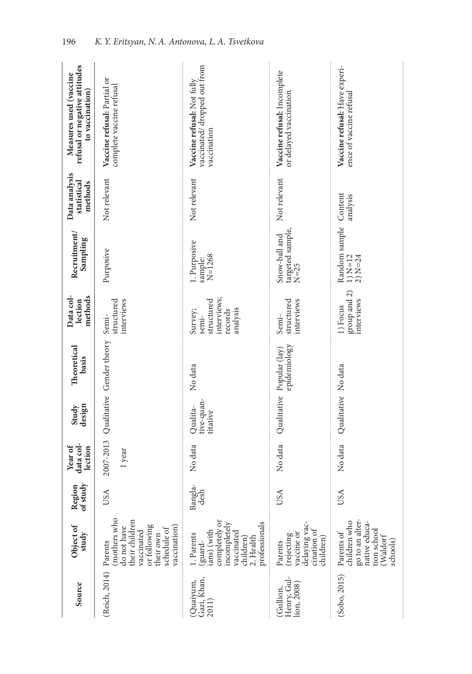| Source                                  | Object of<br>study                                                                                                           | of study<br>Region | data col-<br>Year of<br>lection | Study<br>design                    | Theoretical<br>basis                      | Data col-<br>methods<br>lection                                      | Recruitment/<br>Sampling                 | Data analysis<br>statistical<br>methods | refusal or negative attitudes<br>Measures used (vaccine<br>to vaccination |
|-----------------------------------------|------------------------------------------------------------------------------------------------------------------------------|--------------------|---------------------------------|------------------------------------|-------------------------------------------|----------------------------------------------------------------------|------------------------------------------|-----------------------------------------|---------------------------------------------------------------------------|
| (Reich, 2014) Parents                   | (mothers who<br>their children<br>or following<br>vaccination)<br>do not have<br>schedule of<br>vaccinated<br>their own      | USA                | 1 year                          |                                    | 2007-2013 Qualitative Gender theory Semi- | structured<br>interviews                                             | Purposive                                | Not relevant                            | Vaccine refusal: Partial or<br>complete vaccine refusal                   |
| Gazi, Khan,<br>(Quaiyum,<br>2011)       | completely or<br>professionals<br>incompletely<br>ians) (with<br>vaccinated<br>. Parents<br>2. Health<br>children<br>(guard- | Bangla-<br>desh    | No data                         | tive-quan-<br>Qualita-<br>titative | No data                                   | interviews;<br>structured<br>analysis<br>records<br>Survey;<br>semi- | 1. Purposive<br>$N = 1268$<br>sample:    | Not relevant                            | vaccinated/dropped out from<br>Vaccine refusal: Not fully<br>vaccination  |
| (Gullion,<br>Henry, Gul-<br>lion, 2008) | delaying vac-<br>cination of<br>vaccine or<br>(rejecting<br>children)<br>Parents                                             | USA                | No data                         |                                    | epidemiology<br>Qualitative Popular (lay) | structured<br>interviews<br>Semi-                                    | targeted sample, $N=25$<br>Snow-ball and | Not relevant                            | Vaccine refusal: Incomplete<br>or delayed vaccination                     |
| (Sobo, 2015)                            | go to an alter-<br>children who<br>native educa-<br>tion school<br>Parents of<br>(Waldorf<br>schools)                        | USA                | No data                         | Qualitative No data                |                                           | group and 2)<br>interviews<br>1) Focus                               | Random sample<br>1) $N=12$<br>2) $N=24$  | Content<br>analysis                     | Vaccine refusal: Have experi-<br>ence of vaccine refusal                  |